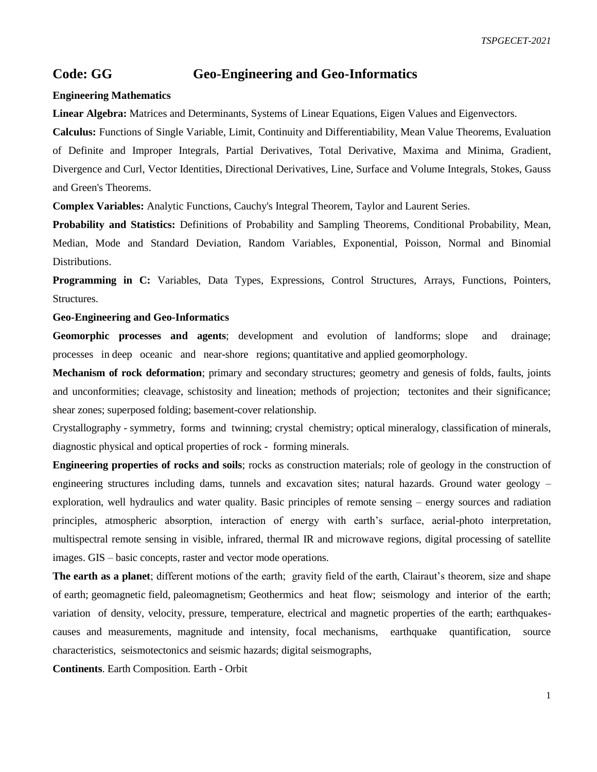## **Code: GG Geo-Engineering and Geo-Informatics**

## **Engineering Mathematics**

**Linear Algebra:** Matrices and Determinants, Systems of Linear Equations, Eigen Values and Eigenvectors.

**Calculus:** Functions of Single Variable, Limit, Continuity and Differentiability, Mean Value Theorems, Evaluation of Definite and Improper Integrals, Partial Derivatives, Total Derivative, Maxima and Minima, Gradient, Divergence and Curl, Vector Identities, Directional Derivatives, Line, Surface and Volume Integrals, Stokes, Gauss and Green's Theorems.

**Complex Variables:** Analytic Functions, Cauchy's Integral Theorem, Taylor and Laurent Series.

**Probability and Statistics:** Definitions of Probability and Sampling Theorems, Conditional Probability, Mean, Median, Mode and Standard Deviation, Random Variables, Exponential, Poisson, Normal and Binomial Distributions.

**Programming in C:** Variables, Data Types, Expressions, Control Structures, Arrays, Functions, Pointers, Structures.

## **Geo-Engineering and Geo-Informatics**

**Geomorphic processes and agents**; development and evolution of landforms; slope and drainage; processes in deep oceanic and near-shore regions; quantitative and applied geomorphology.

**Mechanism of rock deformation**; primary and secondary structures; geometry and genesis of folds, faults, joints and unconformities; cleavage, schistosity and lineation; methods of projection; tectonites and their significance; shear zones; superposed folding; basement-cover relationship.

Crystallography - symmetry, forms and twinning; crystal chemistry; optical mineralogy, classification of minerals, diagnostic physical and optical properties of rock - forming minerals.

**Engineering properties of rocks and soils**; rocks as construction materials; role of geology in the construction of engineering structures including dams, tunnels and excavation sites; natural hazards. Ground water geology – exploration, well hydraulics and water quality. Basic principles of remote sensing – energy sources and radiation principles, atmospheric absorption, interaction of energy with earth's surface, aerial-photo interpretation, multispectral remote sensing in visible, infrared, thermal IR and microwave regions, digital processing of satellite images. GIS – basic concepts, raster and vector mode operations.

**The earth as a planet**; different motions of the earth; gravity field of the earth, Clairaut's theorem, size and shape of earth; geomagnetic field, paleomagnetism; Geothermics and heat flow; seismology and interior of the earth; variation of density, velocity, pressure, temperature, electrical and magnetic properties of the earth; earthquakescauses and measurements, magnitude and intensity, focal mechanisms, earthquake quantification, source characteristics, seismotectonics and seismic hazards; digital seismographs,

**Continents**. Earth Composition. Earth - Orbit